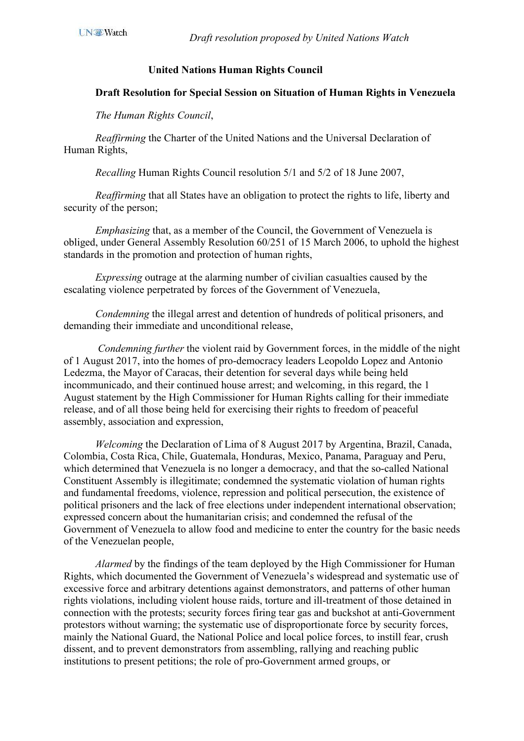## **United Nations Human Rights Council**

## **Draft Resolution for Special Session on Situation of Human Rights in Venezuela**

*The Human Rights Council*,

 *Reaffirming* the Charter of the United Nations and the Universal Declaration of Human Rights,

 *Recalling* Human Rights Council resolution 5/1 and 5/2 of 18 June 2007,

 *Reaffirming* that all States have an obligation to protect the rights to life, liberty and security of the person;

*Emphasizing* that, as a member of the Council, the Government of Venezuela is obliged, under General Assembly Resolution 60/251 of 15 March 2006, to uphold the highest standards in the promotion and protection of human rights,

*Expressing* outrage at the alarming number of civilian casualties caused by the escalating violence perpetrated by forces of the Government of Venezuela,

*Condemning* the illegal arrest and detention of hundreds of political prisoners, and demanding their immediate and unconditional release,

 *Condemning further* the violent raid by Government forces, in the middle of the night of 1 August 2017, into the homes of pro-democracy leaders Leopoldo Lopez and Antonio Ledezma, the Mayor of Caracas, their detention for several days while being held incommunicado, and their continued house arrest; and welcoming, in this regard, the 1 August statement by the High Commissioner for Human Rights calling for their immediate release, and of all those being held for exercising their rights to freedom of peaceful assembly, association and expression,

*Welcoming* the Declaration of Lima of 8 August 2017 by Argentina, Brazil, Canada, Colombia, Costa Rica, Chile, Guatemala, Honduras, Mexico, Panama, Paraguay and Peru, which determined that Venezuela is no longer a democracy, and that the so-called National Constituent Assembly is illegitimate; condemned the systematic violation of human rights and fundamental freedoms, violence, repression and political persecution, the existence of political prisoners and the lack of free elections under independent international observation; expressed concern about the humanitarian crisis; and condemned the refusal of the Government of Venezuela to allow food and medicine to enter the country for the basic needs of the Venezuelan people,

*Alarmed* by the findings of the team deployed by the High Commissioner for Human Rights, which documented the Government of Venezuela's widespread and systematic use of excessive force and arbitrary detentions against demonstrators, and patterns of other human rights violations, including violent house raids, torture and ill-treatment of those detained in connection with the protests; security forces firing tear gas and buckshot at anti-Government protestors without warning; the systematic use of disproportionate force by security forces, mainly the National Guard, the National Police and local police forces, to instill fear, crush dissent, and to prevent demonstrators from assembling, rallying and reaching public institutions to present petitions; the role of pro-Government armed groups, or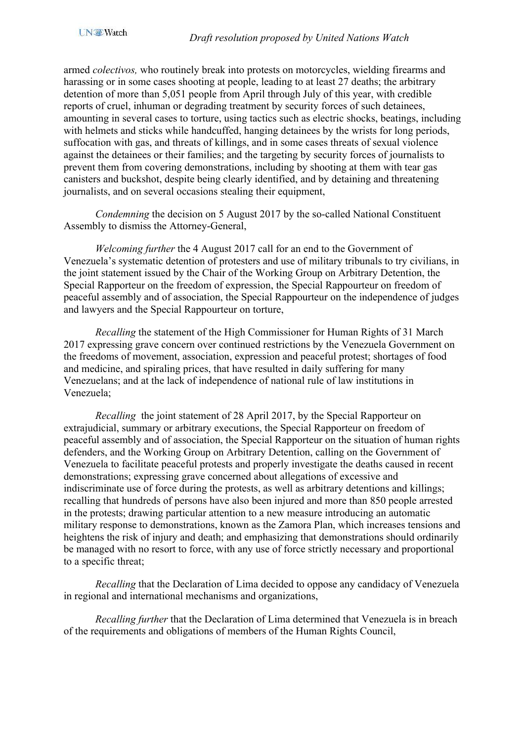armed *colectivos,* who routinely break into protests on motorcycles, wielding firearms and harassing or in some cases shooting at people, leading to at least 27 deaths; the arbitrary detention of more than 5,051 people from April through July of this year, with credible reports of cruel, inhuman or degrading treatment by security forces of such detainees, amounting in several cases to torture, using tactics such as electric shocks, beatings, including with helmets and sticks while handcuffed, hanging detainees by the wrists for long periods, suffocation with gas, and threats of killings, and in some cases threats of sexual violence against the detainees or their families; and the targeting by security forces of journalists to prevent them from covering demonstrations, including by shooting at them with tear gas canisters and buckshot, despite being clearly identified, and by detaining and threatening journalists, and on several occasions stealing their equipment,

*Condemning* the decision on 5 August 2017 by the so-called National Constituent Assembly to dismiss the Attorney-General,

*Welcoming further* the 4 August 2017 call for an end to the Government of Venezuela's systematic detention of protesters and use of military tribunals to try civilians, in the joint statement issued by the Chair of the Working Group on Arbitrary Detention, the Special Rapporteur on the freedom of expression, the Special Rappourteur on freedom of peaceful assembly and of association, the Special Rappourteur on the independence of judges and lawyers and the Special Rappourteur on torture,

*Recalling* the statement of the High Commissioner for Human Rights of 31 March 2017 expressing grave concern over continued restrictions by the Venezuela Government on the freedoms of movement, association, expression and peaceful protest; shortages of food and medicine, and spiraling prices, that have resulted in daily suffering for many Venezuelans; and at the lack of independence of national rule of law institutions in Venezuela;

*Recalling* the joint statement of 28 April 2017, by the Special Rapporteur on extrajudicial, summary or arbitrary executions, the Special Rapporteur on freedom of peaceful assembly and of association, the Special Rapporteur on the situation of human rights defenders, and the Working Group on Arbitrary Detention, calling on the Government of Venezuela to facilitate peaceful protests and properly investigate the deaths caused in recent demonstrations; expressing grave concerned about allegations of excessive and indiscriminate use of force during the protests, as well as arbitrary detentions and killings; recalling that hundreds of persons have also been injured and more than 850 people arrested in the protests; drawing particular attention to a new measure introducing an automatic military response to demonstrations, known as the Zamora Plan, which increases tensions and heightens the risk of injury and death; and emphasizing that demonstrations should ordinarily be managed with no resort to force, with any use of force strictly necessary and proportional to a specific threat;

*Recalling* that the Declaration of Lima decided to oppose any candidacy of Venezuela in regional and international mechanisms and organizations,

*Recalling further* that the Declaration of Lima determined that Venezuela is in breach of the requirements and obligations of members of the Human Rights Council,